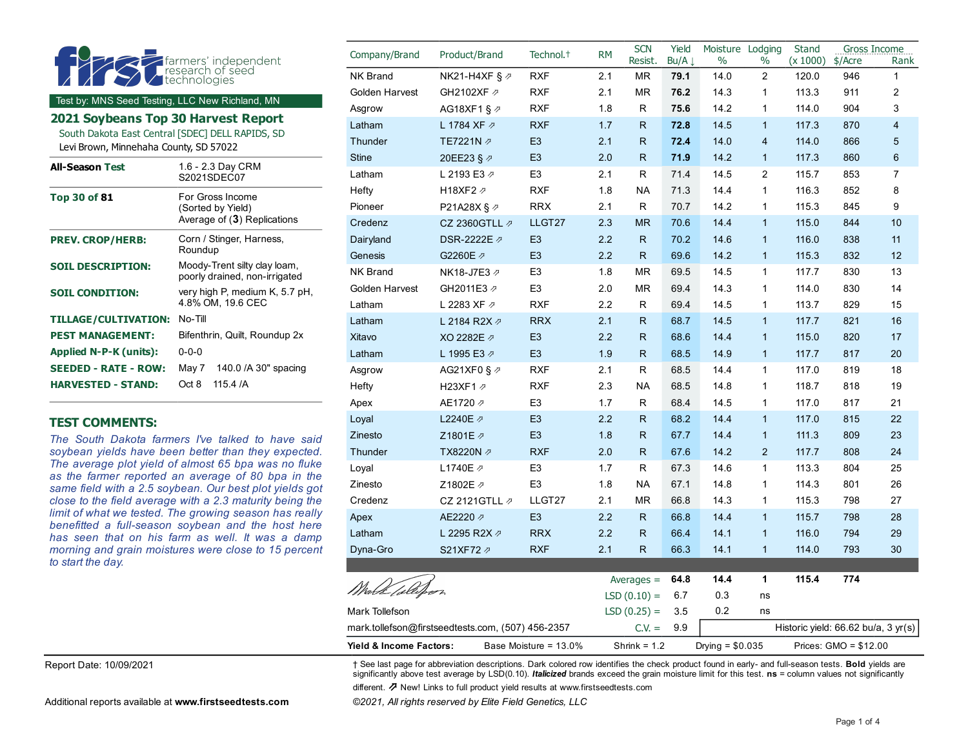| farmers' independent<br>technologies<br><b>ANDRO</b> |
|------------------------------------------------------|
|------------------------------------------------------|

Test by: MNS Seed Testing, LLC New Richland, MN

**2021 Soybeans Top 30 Harvest Report** 

South Dakota East Central [SDEC] DELL RAPIDS, SD

Levi Brown, Minnehaha County, SD 57022

| <b>All-Season Test</b>      | 1.6 - 2.3 Day CRM<br>S2021SDFC07                                     |
|-----------------------------|----------------------------------------------------------------------|
| Top 30 of 81                | For Gross Income<br>(Sorted by Yield)<br>Average of (3) Replications |
| <b>PREV. CROP/HERB:</b>     | Corn / Stinger, Harness,<br>Roundup                                  |
| <b>SOIL DESCRIPTION:</b>    | Moody-Trent silty clay loam,<br>poorly drained, non-irrigated        |
| <b>SOIL CONDITION:</b>      | very high P, medium K, 5.7 pH,<br>4.8% OM, 19.6 CEC                  |
| <b>TILLAGE/CULTIVATION:</b> | No-Till                                                              |
| <b>PEST MANAGEMENT:</b>     | Bifenthrin, Quilt, Roundup 2x                                        |
| Applied N-P-K (units):      | $0 - 0 - 0$                                                          |
| <b>SEEDED - RATE - ROW:</b> | 140.0 / A 30" spacing<br>May 7                                       |
| <b>HARVESTED - STAND:</b>   | 115 4 $/A$<br>Oct 8                                                  |

#### **TEST COMMENTS:**

*The South Dakota farmers I've talked to have said soybean yields have been better than they expected. The average plot yield of almost 65 bpa was no fluke as the farmer reported an average of 80 bpa in the same field with a 2.5 soybean. Our best plot yields got close to the field average with a 2.3 maturity being the limit of what we tested. The growing season has really benefitted a full-season soybean and the host here has seen that on his farm as well. It was a damp morning and grain moistures were close to 15 percent to start the day.*

| Company/Brand                                     | Product/Brand         | Technol. <sup>+</sup> | <b>RM</b> | <b>SCN</b><br>Resist. | Yield<br>Bu/A Į   | Moisture Lodging<br>$\%$ | $\%$                    | Stand<br>(x 1000) | \$/Acre                             | Gross Income<br>Rank |
|---------------------------------------------------|-----------------------|-----------------------|-----------|-----------------------|-------------------|--------------------------|-------------------------|-------------------|-------------------------------------|----------------------|
| <b>NK Brand</b>                                   | NK21-H4XF § $\varphi$ | <b>RXF</b>            | 2.1       | <b>MR</b>             | 79.1              | 14.0                     | $\overline{c}$          | 120.0             | 946                                 | 1                    |
| Golden Harvest                                    | GH2102XF 2            | <b>RXF</b>            | 2.1       | <b>MR</b>             | 76.2              | 14.3                     | 1                       | 113.3             | 911                                 | 2                    |
| Asgrow                                            | AG18XF1 § 2           | <b>RXF</b>            | 1.8       | R                     | 75.6              | 14.2                     | $\mathbf 1$             | 114.0             | 904                                 | 3                    |
| Latham                                            | L 1784 XF 2           | <b>RXF</b>            | 1.7       | $\mathsf{R}$          | 72.8              | 14.5                     | $\mathbf{1}$            | 117.3             | 870                                 | $\overline{4}$       |
| Thunder                                           | TE7221N 2             | E <sub>3</sub>        | 2.1       | $\mathsf{R}$          | 72.4              | 14.0                     | $\overline{\mathbf{4}}$ | 114.0             | 866                                 | 5                    |
| <b>Stine</b>                                      | 20EE23 § 2            | E <sub>3</sub>        | 2.0       | $\mathsf{R}$          | 71.9              | 14.2                     | $\mathbf{1}$            | 117.3             | 860                                 | 6                    |
| Latham                                            | L 2193 E3 2           | E <sub>3</sub>        | 2.1       | $\mathsf{R}$          | 71.4              | 14.5                     | $\overline{c}$          | 115.7             | 853                                 | $\overline{7}$       |
| Hefty                                             | H18XF2 2              | <b>RXF</b>            | 1.8       | <b>NA</b>             | 71.3              | 14.4                     | $\mathbf{1}$            | 116.3             | 852                                 | 8                    |
| Pioneer                                           | P21A28X § 2           | <b>RRX</b>            | 2.1       | R                     | 70.7              | 14.2                     | 1                       | 115.3             | 845                                 | 9                    |
| Credenz                                           | CZ 2360GTLL ク         | LLGT27                | 2.3       | <b>MR</b>             | 70.6              | 14.4                     | $\overline{1}$          | 115.0             | 844                                 | 10                   |
| Dairyland                                         | DSR-2222E 2           | E <sub>3</sub>        | 2.2       | $\mathsf{R}$          | 70.2              | 14.6                     | $\mathbf{1}$            | 116.0             | 838                                 | 11                   |
| Genesis                                           | G2260E 2              | E <sub>3</sub>        | 2.2       | $\mathsf{R}$          | 69.6              | 14.2                     | $\mathbf{1}$            | 115.3             | 832                                 | 12                   |
| <b>NK Brand</b>                                   | NK18-J7E3 2           | E <sub>3</sub>        | 1.8       | <b>MR</b>             | 69.5              | 14.5                     | $\mathbf{1}$            | 117.7             | 830                                 | 13                   |
| Golden Harvest                                    | GH2011E3 2            | E <sub>3</sub>        | 2.0       | <b>MR</b>             | 69.4              | 14.3                     | $\mathbf{1}$            | 114.0             | 830                                 | 14                   |
| Latham                                            | L 2283 XF 2           | <b>RXF</b>            | 2.2       | R                     | 69.4              | 14.5                     | $\mathbf 1$             | 113.7             | 829                                 | 15                   |
| Latham                                            | L 2184 R2X 2          | <b>RRX</b>            | 2.1       | $\mathsf{R}$          | 68.7              | 14.5                     | $\overline{1}$          | 117.7             | 821                                 | 16                   |
| Xitavo                                            | XO 2282E 2            | E <sub>3</sub>        | 2.2       | $\mathsf{R}$          | 68.6              | 14.4                     | $\mathbf{1}$            | 115.0             | 820                                 | 17                   |
| Latham                                            | L 1995 E3 2           | E <sub>3</sub>        | 1.9       | $\mathsf{R}$          | 68.5              | 14.9                     | $\mathbf{1}$            | 117.7             | 817                                 | 20                   |
| Asgrow                                            | AG21XF0 § ₽           | <b>RXF</b>            | 2.1       | $\mathsf{R}$          | 68.5              | 14.4                     | $\mathbf{1}$            | 117.0             | 819                                 | 18                   |
| Hefty                                             | H23XF1 2              | <b>RXF</b>            | 2.3       | <b>NA</b>             | 68.5              | 14.8                     | $\mathbf{1}$            | 118.7             | 818                                 | 19                   |
| Apex                                              | AE1720 2              | E <sub>3</sub>        | 1.7       | R                     | 68.4              | 14.5                     | 1                       | 117.0             | 817                                 | 21                   |
| Loyal                                             | L2240E 2              | E <sub>3</sub>        | 2.2       | $\mathsf{R}$          | 68.2              | 14.4                     | $\overline{1}$          | 117.0             | 815                                 | 22                   |
| Zinesto                                           | Z1801E ク              | E <sub>3</sub>        | 1.8       | $\mathsf{R}$          | 67.7              | 14.4                     | $\mathbf{1}$            | 111.3             | 809                                 | 23                   |
| Thunder                                           | TX8220N ₽             | <b>RXF</b>            | 2.0       | $\mathsf{R}$          | 67.6              | 14.2                     | $\overline{2}$          | 117.7             | 808                                 | 24                   |
| Loyal                                             | L1740E 2              | E <sub>3</sub>        | 1.7       | R                     | 67.3              | 14.6                     | 1                       | 113.3             | 804                                 | 25                   |
| Zinesto                                           | Z1802E 2              | E <sub>3</sub>        | 1.8       | <b>NA</b>             | 67.1              | 14.8                     | 1                       | 114.3             | 801                                 | 26                   |
| Credenz                                           | CZ 2121GTLL $\not$    | LLGT27                | 2.1       | <b>MR</b>             | 66.8              | 14.3                     | $\mathbf 1$             | 115.3             | 798                                 | 27                   |
| Apex                                              | AE2220 2              | E <sub>3</sub>        | 2.2       | R.                    | 66.8              | 14.4                     | $\overline{1}$          | 115.7             | 798                                 | 28                   |
| Latham                                            | L 2295 R2X 2          | <b>RRX</b>            | 2.2       | $\mathsf{R}$          | 66.4              | 14.1                     | $\mathbf{1}$            | 116.0             | 794                                 | 29                   |
| Dyna-Gro                                          | S21XF72 2             | <b>RXF</b>            | 2.1       | R                     | 66.3              | 14.1                     | $\mathbf{1}$            | 114.0             | 793                                 | 30                   |
|                                                   |                       |                       |           |                       |                   |                          |                         |                   |                                     |                      |
| Wird <i>k [æ</i> lle/                             |                       |                       |           | Averages $=$          | 64.8              | 14.4                     | 1                       | 115.4             | 774                                 |                      |
|                                                   |                       |                       |           | $LSD(0.10) =$         | 6.7               | 0.3                      | ns                      |                   |                                     |                      |
| Mark Tollefson                                    |                       |                       |           | $LSD(0.25) =$         | 3.5               | 0.2                      | ns                      |                   |                                     |                      |
| mark.tollefson@firstseedtests.com, (507) 456-2357 |                       |                       |           | $C.V. =$              | 9.9               |                          |                         |                   | Historic yield: 66.62 bu/a, 3 yr(s) |                      |
| Yield & Income Factors:<br>Base Moisture = 13.0%  |                       |                       |           | Shrink = $1.2$        | Drying = $$0.035$ |                          | Prices: $GMO = $12.00$  |                   |                                     |                      |

Report Date: 10/09/2021 **1992 12:00:00 12:00:00 12:00:00 12:00:00 12:00:00 12:00:00 12:00:00 12:00:00 12:00:00 12:00:00 12:00:00 12:00:00 12:00:00 12:00:00 12:00:00 12:00:00 12:00:00 12:00:00 12:00:00 12:00:00 12:00:00 12:** significantly above test average by LSD(0.10). *Italicized* brands exceed the grain moisture limit for this test. **ns** = column values not significantly

different. ⇗ New! Links to full product yield results at www.firstseedtests.com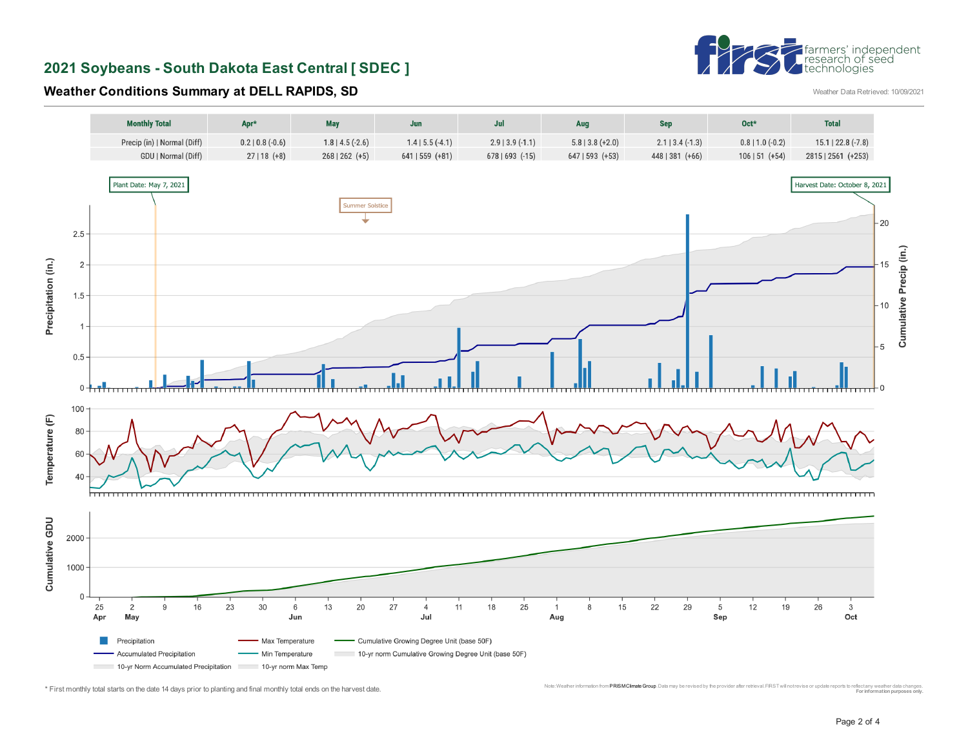# †farmers' independent<br>|research of seed<br>|technologies

**2021 Soybeans - South Dakota East Central [ SDEC ]** 

## **Weather Conditions Summary at DELL RAPIDS, SD Weather Data Retrieved: 10/09/2021**



<sup>\*</sup> First monthly total starts on the date 14 days prior to planting and final monthly total ends on the harvest date. Monic was the computation and the computation and the computation provider all environment in the computa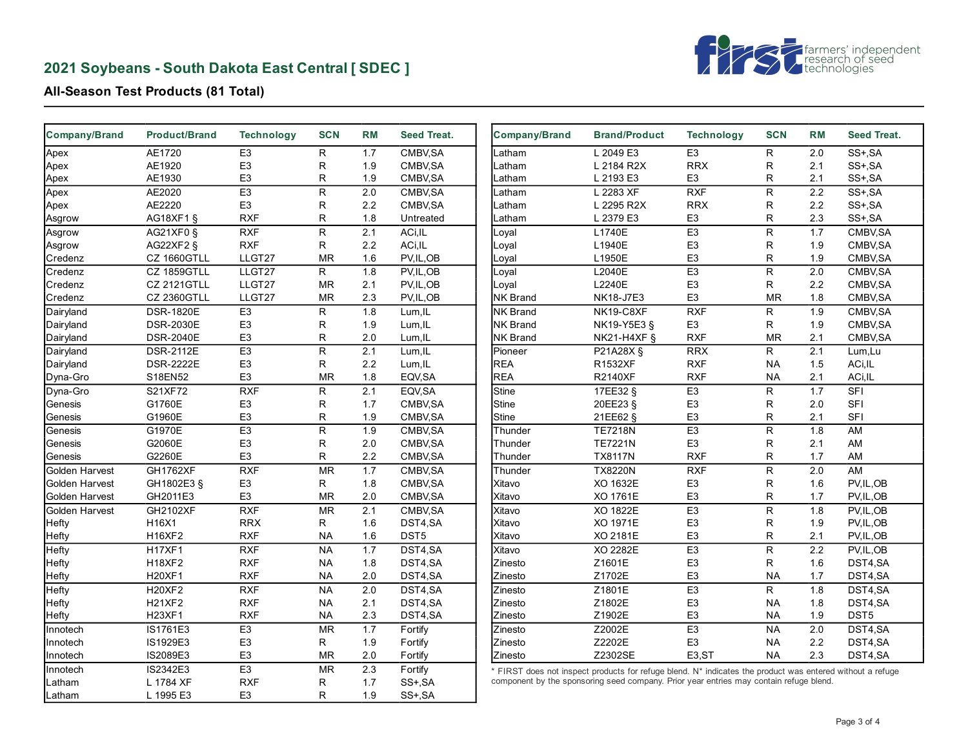## **2021 Soybeans - South Dakota East Central [ SDEC ]**



## **All-Season Test Products (81 Total)**

| <b>Company/Brand</b>  | <b>Product/Brand</b> | <b>Technology</b> | <b>SCN</b>   | <b>RM</b> | <b>Seed Treat.</b> | Company/Brand   | <b>Brand/Product</b>                                                                                      | <b>Technology</b>  | <b>SCN</b>   | <b>RM</b> | <b>Seed Treat.</b>      |
|-----------------------|----------------------|-------------------|--------------|-----------|--------------------|-----------------|-----------------------------------------------------------------------------------------------------------|--------------------|--------------|-----------|-------------------------|
| Apex                  | AE1720               | E <sub>3</sub>    | $\mathsf{R}$ | 1.7       | CMBV.SA            | .atham          | L 2049 E3                                                                                                 | E <sub>3</sub>     | $\mathsf{R}$ | 2.0       | SS+, SA                 |
| Apex                  | AE1920               | E <sub>3</sub>    | R            | 1.9       | CMBV, SA           | Latham          | L 2184 R2X                                                                                                | <b>RRX</b>         | R            | 2.1       | SS+, SA                 |
| Apex                  | AE1930               | E <sub>3</sub>    | R            | 1.9       | CMBV, SA           | .atham          | L 2193 E3                                                                                                 | E <sub>3</sub>     | R            | 2.1       | SS+, SA                 |
| Apex                  | AE2020               | E <sub>3</sub>    | $\mathsf{R}$ | 2.0       | CMBV, SA           | .atham          | L 2283 XF                                                                                                 | <b>RXF</b>         | $\mathsf{R}$ | 2.2       | SS+, SA                 |
| Apex                  | AE2220               | E <sub>3</sub>    | R            | 2.2       | CMBV, SA           | .atham          | L 2295 R2X                                                                                                | <b>RRX</b>         | $\mathsf R$  | 2.2       | SS+, SA                 |
| Asgrow                | AG18XF1 §            | <b>RXF</b>        | R            | 1.8       | Untreated          | -atham          | L 2379 E3                                                                                                 | E <sub>3</sub>     | R            | 2.3       | SS+, SA                 |
| Asgrow                | AG21XF0 §            | <b>RXF</b>        | ${\sf R}$    | 2.1       | ACi, IL            | _oyal           | L1740E                                                                                                    | E3                 | $\mathsf{R}$ | 1.7       | CMBV, SA                |
| Asgrow                | AG22XF2 §            | <b>RXF</b>        | R            | 2.2       | ACi, IL            | Loyal           | L1940E                                                                                                    | E <sub>3</sub>     | R            | 1.9       | CMBV, SA                |
| Credenz               | CZ 1660GTLL          | LLGT27            | <b>MR</b>    | 1.6       | PV, IL, OB         | Loyal           | L1950E                                                                                                    | E <sub>3</sub>     | R            | 1.9       | CMBV, SA                |
| <b>Credenz</b>        | CZ 1859GTLL          | LLGT27            | R.           | 1.8       | PV,IL,OB           | Loyal           | L2040E                                                                                                    | E <sub>3</sub>     | $\mathsf{R}$ | 2.0       | CMBV.SA                 |
| Credenz               | CZ 2121GTLL          | LLGT27            | <b>MR</b>    | 2.1       | PV, IL, OB         | _oyal           | L2240E                                                                                                    | E <sub>3</sub>     | R            | 2.2       | CMBV, SA                |
| Credenz               | <b>CZ 2360GTLL</b>   | LLGT27            | <b>MR</b>    | 2.3       | PV, IL, OB         | <b>NK Brand</b> | NK18-J7E3                                                                                                 | E <sub>3</sub>     | <b>MR</b>    | 1.8       | CMBV, SA                |
| Dairyland             | <b>DSR-1820E</b>     | E <sub>3</sub>    | R            | 1.8       | Lum, IL            | NK Brand        | NK19-C8XF                                                                                                 | <b>RXF</b>         | R            | 1.9       | CMBV, SA                |
| Dairyland             | <b>DSR-2030E</b>     | E <sub>3</sub>    | R            | 1.9       | Lum, IL            | <b>NK Brand</b> | NK19-Y5E3 §                                                                                               | E <sub>3</sub>     | R            | 1.9       | CMBV, SA                |
| Dairyland             | <b>DSR-2040E</b>     | E <sub>3</sub>    | $\mathsf{R}$ | 2.0       | Lum.IL             | <b>NK Brand</b> | <b>NK21-H4XF §</b>                                                                                        | <b>RXF</b>         | <b>MR</b>    | 2.1       | CMBV, SA                |
| Dairyland             | <b>DSR-2112E</b>     | E <sub>3</sub>    | R            | 2.1       | Lum, IL            | Pioneer         | P21A28X §                                                                                                 | <b>RRX</b>         | R            | 2.1       | Lum, Lu                 |
| Dairyland             | <b>DSR-2222E</b>     | E <sub>3</sub>    | R            | 2.2       | Lum, IL            | REA             | R1532XF                                                                                                   | <b>RXF</b>         | <b>NA</b>    | 1.5       | ACi, IL                 |
| Dyna-Gro              | S18EN52              | E <sub>3</sub>    | <b>MR</b>    | 1.8       | EQV, SA            | <b>REA</b>      | <b>R2140XF</b>                                                                                            | <b>RXF</b>         | <b>NA</b>    | 2.1       | ACi, IL                 |
| Dyna-Gro              | S21XF72              | RXF               | R            | 2.1       | EQV, SA            | <b>Stine</b>    | 17EE32 §                                                                                                  | E3                 | $\mathsf{R}$ | 1.7       | $\overline{\text{SFI}}$ |
| Genesis               | G1760E               | E <sub>3</sub>    | R            | 1.7       | CMBV, SA           | <b>Stine</b>    | 20EE23 §                                                                                                  | E <sub>3</sub>     | $\mathsf R$  | 2.0       | <b>SFI</b>              |
| Genesis               | G1960E               | E <sub>3</sub>    | R            | 1.9       | CMBV, SA           | Stine           | 21EE62 §                                                                                                  | E <sub>3</sub>     | R            | 2.1       | <b>SFI</b>              |
| Genesis               | G1970E               | E3                | R            | 1.9       | CMBV, SA           | Thunder         | <b>TE7218N</b>                                                                                            | E <sub>3</sub>     | $\mathsf{R}$ | 1.8       | AM                      |
| Genesis               | G2060E               | E <sub>3</sub>    | $\mathsf{R}$ | 2.0       | CMBV, SA           | Thunder         | <b>TE7221N</b>                                                                                            | E <sub>3</sub>     | R            | 2.1       | AM                      |
| Genesis               | G2260E               | E <sub>3</sub>    | $\mathsf{R}$ | 2.2       | CMBV, SA           | Thunder         | <b>TX8117N</b>                                                                                            | <b>RXF</b>         | R            | 1.7       | AM                      |
| Golden Harvest        | <b>GH1762XF</b>      | RXF               | <b>MR</b>    | 1.7       | CMBV, SA           | Thunder         | <b>TX8220N</b>                                                                                            | RXF                | R            | 2.0       | AM                      |
| <b>Golden Harvest</b> | GH1802E3 §           | E <sub>3</sub>    | R            | 1.8       | CMBV, SA           | Xitavo          | XO 1632E                                                                                                  | E <sub>3</sub>     | ${\sf R}$    | 1.6       | PV, IL, OB              |
| Golden Harvest        | GH2011E3             | E <sub>3</sub>    | <b>MR</b>    | 2.0       | CMBV, SA           | Xitavo          | XO 1761E                                                                                                  | E <sub>3</sub>     | R            | 1.7       | PV,IL,OB                |
| Golden Harvest        | GH2102XF             | RXF               | <b>MR</b>    | 2.1       | CMBV, SA           | Xitavo          | XO 1822E                                                                                                  | E3                 | $\mathsf{R}$ | 1.8       | PV, IL, OB              |
| Hefty                 | H16X1                | <b>RRX</b>        | R            | 1.6       | DST4,SA            | Xitavo          | XO 1971E                                                                                                  | E <sub>3</sub>     | R            | 1.9       | PV, IL, OB              |
| Hefty                 | <b>H16XF2</b>        | <b>RXF</b>        | <b>NA</b>    | 1.6       | DST5               | Xitavo          | XO 2181E                                                                                                  | E <sub>3</sub>     | R            | 2.1       | PV,IL,OB                |
| Hefty                 | <b>H17XF1</b>        | <b>RXF</b>        | <b>NA</b>    | 1.7       | DST4,SA            | Xitavo          | XO 2282E                                                                                                  | E <sub>3</sub>     | $\mathsf{R}$ | 2.2       | PV, IL, OB              |
| Hefty                 | <b>H18XF2</b>        | <b>RXF</b>        | <b>NA</b>    | 1.8       | DST4,SA            | Zinesto         | Z1601E                                                                                                    | E <sub>3</sub>     | R            | 1.6       | DST4,SA                 |
| Hefty                 | H20XF1               | <b>RXF</b>        | <b>NA</b>    | 2.0       | DST4,SA            | Zinesto         | Z1702E                                                                                                    | E <sub>3</sub>     | <b>NA</b>    | 1.7       | DST4,SA                 |
| Hefty                 | <b>H20XF2</b>        | <b>RXF</b>        | <b>NA</b>    | 2.0       | DST4,SA            | Zinesto         | Z1801E                                                                                                    | E <sub>3</sub>     | R.           | 1.8       | DST <sub>4,</sub> SA    |
| Hefty                 | <b>H21XF2</b>        | <b>RXF</b>        | <b>NA</b>    | 2.1       | DST4,SA            | Zinesto         | Z1802E                                                                                                    | E <sub>3</sub>     | <b>NA</b>    | 1.8       | DST4,SA                 |
| Hefty                 | H23XF1               | <b>RXF</b>        | <b>NA</b>    | 2.3       | DST4,SA            | Zinesto         | Z1902E                                                                                                    | E <sub>3</sub>     | <b>NA</b>    | 1.9       | DST5                    |
| Innotech              | IS1761E3             | E <sub>3</sub>    | <b>MR</b>    | 1.7       | Fortify            | Zinesto         | Z2002E                                                                                                    | E3                 | <b>NA</b>    | 2.0       | DST4,SA                 |
| Innotech              | IS1929E3             | E <sub>3</sub>    | R            | 1.9       | Fortify            | Zinesto         | Z2202E                                                                                                    | E <sub>3</sub>     | <b>NA</b>    | 2.2       | DST4,SA                 |
| Innotech              | IS2089E3             | E <sub>3</sub>    | <b>MR</b>    | 2.0       | Fortify            | Zinesto         | Z2302SE                                                                                                   | E <sub>3</sub> ,ST | <b>NA</b>    | 2.3       | DST4,SA                 |
| Innotech              | IS2342E3             | E <sub>3</sub>    | <b>MR</b>    | 2.3       | Fortify            |                 | * FIRST does not inspect products for refuge blend. N* indicates the product was entered without a refuge |                    |              |           |                         |
| Latham                | L 1784 XF            | <b>RXF</b>        | R            | 1.7       | SS+, SA            |                 | component by the sponsoring seed company. Prior year entries may contain refuge blend.                    |                    |              |           |                         |
| Latham                | L 1995 E3            | E <sub>3</sub>    | R.           | 1.9       | SS+, SA            |                 |                                                                                                           |                    |              |           |                         |